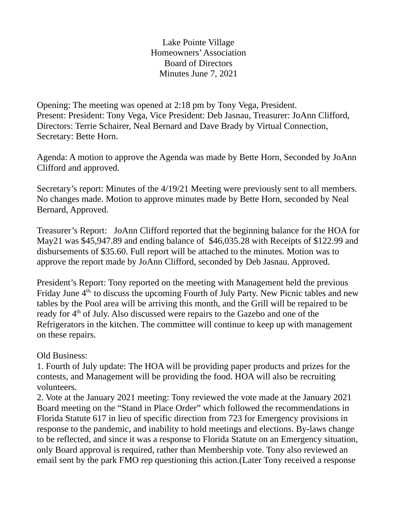Lake Pointe Village Homeowners' Association Board of Directors Minutes June 7, 2021

Opening: The meeting was opened at 2:18 pm by Tony Vega, President. Present: President: Tony Vega, Vice President: Deb Jasnau, Treasurer: JoAnn Clifford, Directors: Terrie Schairer, Neal Bernard and Dave Brady by Virtual Connection, Secretary: Bette Horn.

Agenda: A motion to approve the Agenda was made by Bette Horn, Seconded by JoAnn Clifford and approved.

Secretary's report: Minutes of the 4/19/21 Meeting were previously sent to all members. No changes made. Motion to approve minutes made by Bette Horn, seconded by Neal Bernard, Approved.

Treasurer's Report: JoAnn Clifford reported that the beginning balance for the HOA for May21 was \$45,947.89 and ending balance of \$46,035.28 with Receipts of \$122.99 and disbursements of \$35.60. Full report will be attached to the minutes. Motion was to approve the report made by JoAnn Clifford, seconded by Deb Jasnau. Approved.

President's Report: Tony reported on the meeting with Management held the previous Friday June  $4<sup>th</sup>$ , to discuss the upcoming Fourth of July Party. New Picnic tables and new tables by the Pool area will be arriving this month, and the Grill will be repaired to be ready for 4<sup>th</sup> of July. Also discussed were repairs to the Gazebo and one of the Refrigerators in the kitchen. The committee will continue to keep up with management on these repairs.

## Old Business:

1. Fourth of July update: The HOA will be providing paper products and prizes for the contests, and Management will be providing the food. HOA will also be recruiting volunteers.

2. Vote at the January 2021 meeting: Tony reviewed the vote made at the January 2021 Board meeting on the "Stand in Place Order" which followed the recommendations in Florida Statute 617 in lieu of specific direction from 723 for Emergency provisions in response to the pandemic, and inability to hold meetings and elections. By-laws change to be reflected, and since it was a response to Florida Statute on an Emergency situation, only Board approval is required, rather than Membership vote. Tony also reviewed an email sent by the park FMO rep questioning this action.(Later Tony received a response